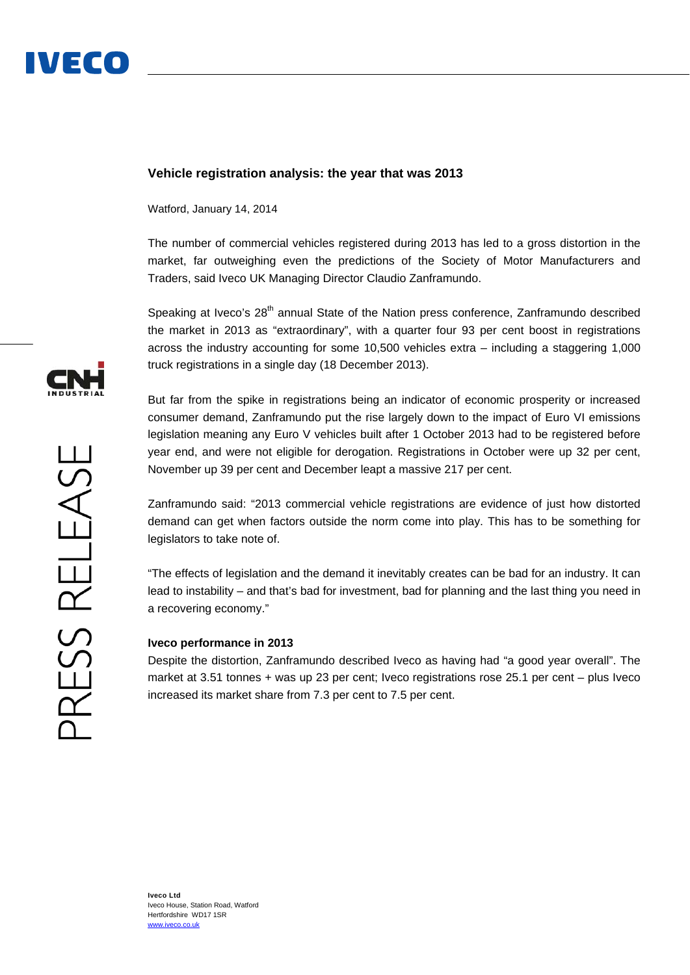

## **Vehicle registration analysis: the year that was 2013**

Watford, January 14, 2014

The number of commercial vehicles registered during 2013 has led to a gross distortion in the market, far outweighing even the predictions of the Society of Motor Manufacturers and Traders, said Iveco UK Managing Director Claudio Zanframundo.

Speaking at Iveco's 28<sup>th</sup> annual State of the Nation press conference, Zanframundo described the market in 2013 as "extraordinary", with a quarter four 93 per cent boost in registrations across the industry accounting for some 10,500 vehicles extra – including a staggering 1,000 truck registrations in a single day (18 December 2013).

But far from the spike in registrations being an indicator of economic prosperity or increased consumer demand, Zanframundo put the rise largely down to the impact of Euro VI emissions legislation meaning any Euro V vehicles built after 1 October 2013 had to be registered before year end, and were not eligible for derogation. Registrations in October were up 32 per cent, November up 39 per cent and December leapt a massive 217 per cent.

Zanframundo said: "2013 commercial vehicle registrations are evidence of just how distorted demand can get when factors outside the norm come into play. This has to be something for legislators to take note of.

"The effects of legislation and the demand it inevitably creates can be bad for an industry. It can lead to instability – and that's bad for investment, bad for planning and the last thing you need in a recovering economy."

### **Iveco performance in 2013**

Despite the distortion, Zanframundo described Iveco as having had "a good year overall". The market at 3.51 tonnes + was up 23 per cent; Iveco registrations rose 25.1 per cent – plus Iveco increased its market share from 7.3 per cent to 7.5 per cent.

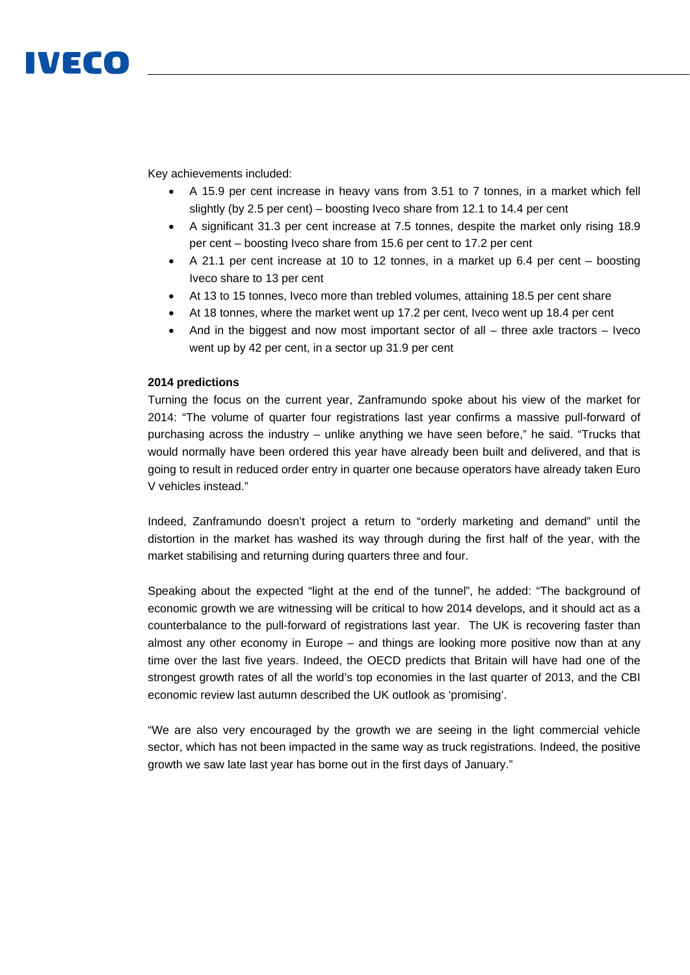# IVECO

Key achievements included:

- A 15.9 per cent increase in heavy vans from 3.51 to 7 tonnes, in a market which fell slightly (by 2.5 per cent) – boosting Iveco share from 12.1 to 14.4 per cent
- A significant 31.3 per cent increase at 7.5 tonnes, despite the market only rising 18.9 per cent – boosting Iveco share from 15.6 per cent to 17.2 per cent
- $\bullet$  A 21.1 per cent increase at 10 to 12 tonnes, in a market up 6.4 per cent boosting Iveco share to 13 per cent
- At 13 to 15 tonnes, Iveco more than trebled volumes, attaining 18.5 per cent share
- At 18 tonnes, where the market went up 17.2 per cent, Iveco went up 18.4 per cent
- And in the biggest and now most important sector of all  $-$  three axle tractors  $-$  Iveco went up by 42 per cent, in a sector up 31.9 per cent

## **2014 predictions**

Turning the focus on the current year, Zanframundo spoke about his view of the market for 2014: "The volume of quarter four registrations last year confirms a massive pull-forward of purchasing across the industry – unlike anything we have seen before," he said. "Trucks that would normally have been ordered this year have already been built and delivered, and that is going to result in reduced order entry in quarter one because operators have already taken Euro V vehicles instead."

Indeed, Zanframundo doesn't project a return to "orderly marketing and demand" until the distortion in the market has washed its way through during the first half of the year, with the market stabilising and returning during quarters three and four.

Speaking about the expected "light at the end of the tunnel", he added: "The background of economic growth we are witnessing will be critical to how 2014 develops, and it should act as a counterbalance to the pull-forward of registrations last year. The UK is recovering faster than almost any other economy in Europe – and things are looking more positive now than at any time over the last five years. Indeed, the OECD predicts that Britain will have had one of the strongest growth rates of all the world's top economies in the last quarter of 2013, and the CBI economic review last autumn described the UK outlook as 'promising'.

"We are also very encouraged by the growth we are seeing in the light commercial vehicle sector, which has not been impacted in the same way as truck registrations. Indeed, the positive growth we saw late last year has borne out in the first days of January."